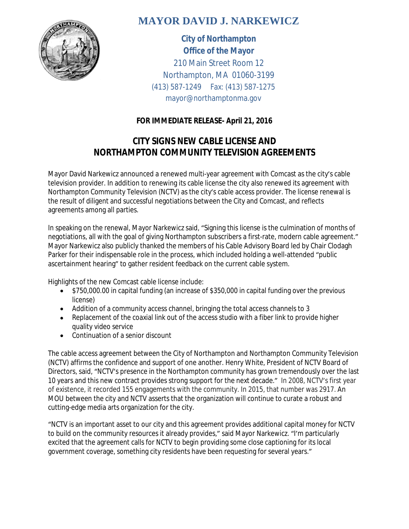

## **MAYOR DAVID J. NARKEWICZ**

**City of Northampton Office of the Mayor** 210 Main Street Room 12 Northampton, MA 01060-3199 (413) 587-1249 Fax: (413) 587-1275 mayor@northamptonma.gov

## **FOR IMMEDIATE RELEASE- April 21, 2016**

## **CITY SIGNS NEW CABLE LICENSE AND NORTHAMPTON COMMUNITY TELEVISION AGREEMENTS**

Mayor David Narkewicz announced a renewed multi-year agreement with Comcast as the city's cable television provider. In addition to renewing its cable license the city also renewed its agreement with Northampton Community Television (NCTV) as the city's cable access provider. The license renewal is the result of diligent and successful negotiations between the City and Comcast, and reflects agreements among all parties.

In speaking on the renewal, Mayor Narkewicz said, "Signing this license is the culmination of months of negotiations, all with the goal of giving Northampton subscribers a first-rate, modern cable agreement." Mayor Narkewicz also publicly thanked the members of his Cable Advisory Board led by Chair Clodagh Parker for their indispensable role in the process, which included holding a well-attended "public ascertainment hearing" to gather resident feedback on the current cable system.

Highlights of the new Comcast cable license include:

- \$750,000.00 in capital funding (an increase of \$350,000 in capital funding over the previous license)
- Addition of a community access channel, bringing the total access channels to 3
- Replacement of the coaxial link out of the access studio with a fiber link to provide higher quality video service
- Continuation of a senior discount

The cable access agreement between the City of Northampton and Northampton Community Television (NCTV) affirms the confidence and support of one another. Henry White, President of NCTV Board of Directors, said, "NCTV's presence in the Northampton community has grown tremendously over the last 10 years and this new contract provides strong support for the next decade." In 2008, NCTV's first year of existence, it recorded 155 engagements with the community. In 2015, that number was 2917. An MOU between the city and NCTV asserts that the organization will continue to curate a robust and cutting-edge media arts organization for the city.

"NCTV is an important asset to our city and this agreement provides additional capital money for NCTV to build on the community resources it already provides," said Mayor Narkewicz. "I'm particularly excited that the agreement calls for NCTV to begin providing some close captioning for its local government coverage, something city residents have been requesting for several years."